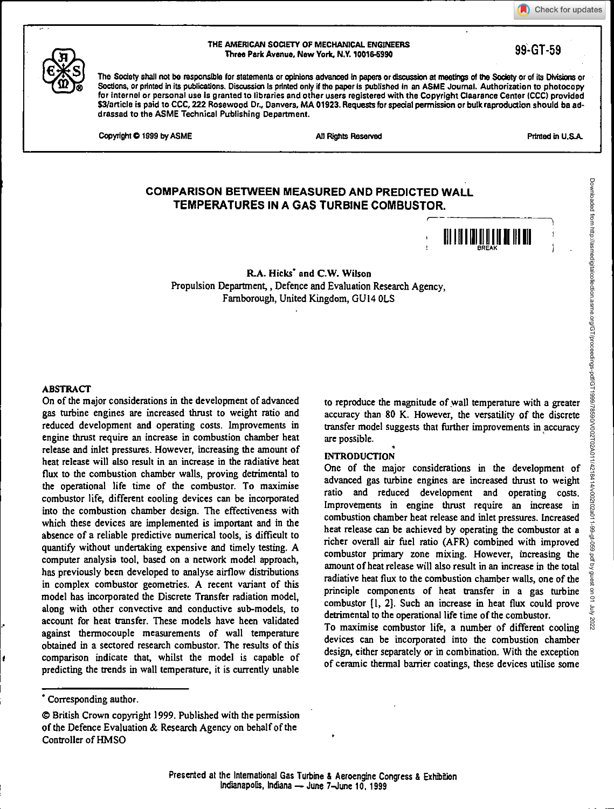Check for updates



THE AMERICAN SOCIETY OF MECHANICAL ENGINEERS AMERICAN SUCIETT OF MECHANICAL ENGINEERS<br>Three Park Avenue, New York, N.Y. 10016-5990 99-800 99-GT-59

The Society shall not be responsible for statements or opinions advanced in papers or discussion at meetings of the Society or of its Divisions or Sections, or printed in its publications. Discussion is printed only if the paper is published in an ASME Journal. Authorization to photocopy for internal or personal use Is granted to libraries and other users registered with the Copyright Clearance Center (CCC) provided \$3/article is paid to CCC, 222 Rosewood Dr., Danvers, MA 01923. Requests for special permission or bulk reproduction should be addressed to the ASME Technical Publishing Department.

Copyright © 1999 by ASME **M** Rights Resolved All Rights Resolved **Primed in U.S.A.** 

Downloaded from http://asmedigitalcollection.asme.org/GT/proceedings-pdf/GT1999/78590/V002T02A011/4218414/v002t02a011-99-gt-059.pdf by guest on 01 July 2022

Downloaded from http://asmedigitalcollection.asme.org/GT/proceedings-pdf/GT1999/780210210240114219414/400210220211-99-gt-059.pdf by guest on 01 July

# **COMPARISON BETWEEN MEASURED AND PREDICTED WALL TEMPERATURES IN A GAS TURBINE COMBUSTOR.**



R.A. Hicks' and C.W. Wilson Propulsion Department, , Defence and Evaluation Research Agency, Famborough, United Kingdom, GU14 OLS

#### ABSTRACT

On of the major considerations in the development of advanced gas turbine engines are increased thrust to weight ratio and reduced development and operating costs. Improvements in engine thrust require an increase in combustion chamber heat release and inlet pressures. However, increasing the amount of heat release will also result in an increase in the radiative heat flux to the combustion chamber walls, proving detrimental to the operational life time of the combustor. To maximise combustor life, different cooling devices can be incorporated into the combustion chamber design. The effectiveness with which these devices are implemented is important and in the absence of a reliable predictive numerical tools, is difficult to quantify without undertaking expensive and timely testing. A computer analysis tool, based on a network model approach, has previously been developed to analyse airflow distributions in complex combustor geometries. A recent variant of this model has incorporated the Discrete Transfer radiation model, along with other convective and conductive sub-models, to account for heat transfer. These models have been validated against thermocouple measurements of wall temperature obtained in a sectored research combustor. The results of this comparison indicate that, whilst the model is capable of predicting the trends in wall temperature, it is currently unable

## INTRODUCTION

One of the major considerations in the development of advanced gas turbine engines are increased thrust to weight ratio and reduced development and operating costs. Improvements in engine thrust require an increase in combustion chamber heat release and inlet pressures. Increased heat release can be achieved by operating the combustor at a richer overall air fuel ratio (AFR) combined with improved combustor primary zone mixing. However, increasing the amount of heat release will also result in an increase in the total radiative heat flux to the combustion chamber walls, one of the principle components of heat transfer in a gas turbine combustor [1, 21. Such an increase in heat flux could prove detrimental to the operational life time of the combustor.

To maximise combustor life, a number of different cooling devices can be incorporated into the combustion chamber design, either separately or in combination. With the exception of ceramic thermal barrier coatings, these devices utilise some

to reproduce the magnitude of wall temperature with a greater accuracy than 80 K. However, the versatility of the discrete transfer model suggests that further improvements in accuracy are possible.

<sup>•</sup> Corresponding author.

ot British Crown copyright 1999. Published with the permission of the Defence Evaluation & Research Agency on behalf of the Controller of HMSO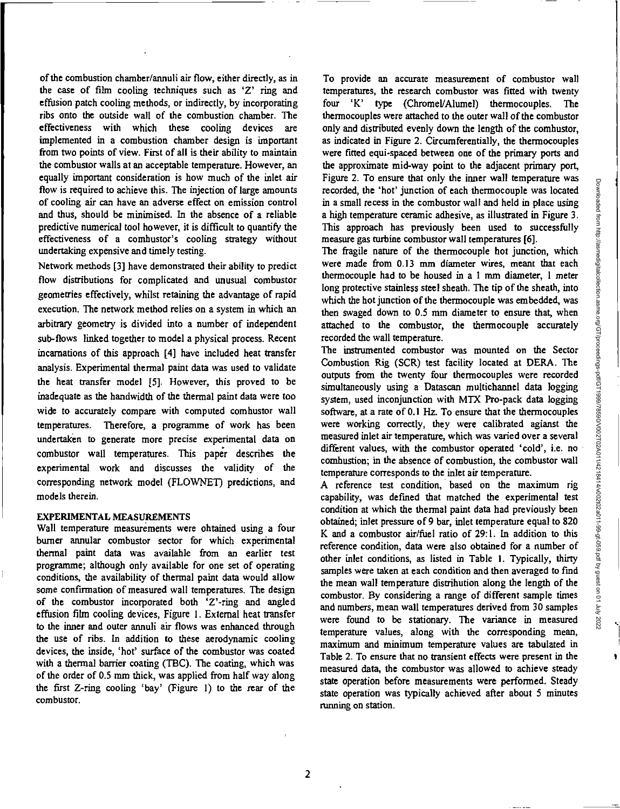of the combustion chamber/annuli air flow, either directly, as in the case of film cooling techniques such as 'Z' ring and effusion patch cooling methods, or indirectly, by incorporating ribs onto the outside wall of the combustion chamber. The effectiveness with which these cooling devices are implemented in a combustion chamber design is important from two points of view. First of all is their ability to maintain the combustor walls at an acceptable temperature. However, an equally important consideration is how much of the inlet air flow is required to achieve this. The injection of large amounts of cooling air can have an adverse effect on emission control and thus, should be minimised. In the absence of a reliable predictive numerical tool however, it is difficult to quantify the effectiveness of a combustor's cooling strategy without undertaking expensive and timely testing.

Network methods [3] have demonstrated their ability to predict flow distributions for complicated and unusual combustor geometries effectively, whilst retaining the advantage of rapid execution. The network method relies on a system in which an arbitrary geometry is divided into a number of independent sub-flows linked together to model a physical process. Recent incarnations of this approach [4] have included heat transfer analysis. Experimental thermal paint data was used to validate the heat transfer model [5]. However, this proved to be inadequate as the bandwidth of the thermal paint data were too wide to accurately compare with computed combustor wall temperatures. Therefore, a programme of work has been undertaken to generate more precise experimental data on combustor wall temperatures. This paper describes the experimental work and discusses the validity of the corresponding network model (FLOWNET) predictions, and models therein.

## EXPERIMENTAL MEASUREMENTS

Wall temperature measurements were obtained using a four burner annular combustor sector for which experimental thermal paint data was available from an earlier test programme; although only available for one set of operating conditions, the availability of thermal paint data would allow some confirmation of measured wall temperatures. The design of the combustor incorporated both 'Z'-ring and angled effusion film cooling devices, Figure 1. External heat transfer to the inner and outer annuli air flows was enhanced through the use of ribs. In addition to these aerodynamic cooling devices, the inside, 'hot' surface of the combustor was coated with a thermal barrier coating (TBC). The coating, which was of the order of 0.5 mm thick, was applied from half way along the first Z-ring cooling `bay' (Figure 1) to the rear of the combustor.

To provide an accurate measurement of combustor wall temperatures, the research combustor was fitted with twenty four 'K' type (Chromel/Alumel) thermocouples. The thermocouples were attached to the outer wall of the combustor only and distributed evenly down the length of the combustor, as indicated in Figure 2. Circumferentially, the thermocouples were fitted equi-spaced between one of the primary ports and the approximate mid-way point to the adjacent primary port, Figure 2. To ensure that only the inner wall temperature was recorded, the 'hot' junction of each thermocouple was located in a small recess in the combustor wall and held in place using a high temperature ceramic adhesive, as illustrated in Figure 3. This approach has previously been used to successfully measure gas turbine combustor wall temperatures [6].

The fragile nature of the thermocouple hot junction, which were made from 0.13 mm diameter wires, meant that each thermocouple had to be housed in a 1 mm diameter, 1 meter long protective stainless steel sheath. The tip of the sheath, into which the hot junction of the thermocouple was embedded, was then swaged down to 0.5 mm diameter to ensure that, when attached to the combustor, the thermocouple accurately recorded the wall temperature.

The instrumented combustor was mounted on the Sector Combustion Rig (SCR) test facility located at DERA. The outputs from the twenty four thermocouples were recorded simultaneously using a Datascan multichannel data logging system, used inconjunction with MTX Pro-pack data logging software, at a rate of 0.1 Hz. To ensure that the thermocouples were working correctly, they were calibrated agianst the measured inlet air temperature, which was varied over a several different values, with the combustor operated 'cold', i.e. no combustion; in the absence of combustion, the combustor wall temperature corresponds to the inlet air temperature.

A reference test condition, based on the maximum rig capability, was defined that matched the experimental test condition at which the thermal paint data had previously been obtained; inlet pressure of 9 bar, inlet temperature equal to 820 K and a combustor air/fuel ratio of 29:1. In addition to this reference condition, data were also obtained for a number of other inlet conditions, as listed in Table I. Typically, thirty samples were taken at each condition and then averaged to find the mean wall temperature distribution along the length of the combustor. By considering a range of different sample times and numbers, mean wall temperatures derived from 30 samples were found to be stationary. The variance in measured temperature values, along with the corresponding mean, maximum and minimum temperature values are tabulated in Table 2. To ensure that no transient effects were present in the measured data, the combustor was allowed to achieve steady state operation before measurements were performed. Steady state operation was typically achieved after about 5 minutes running on station.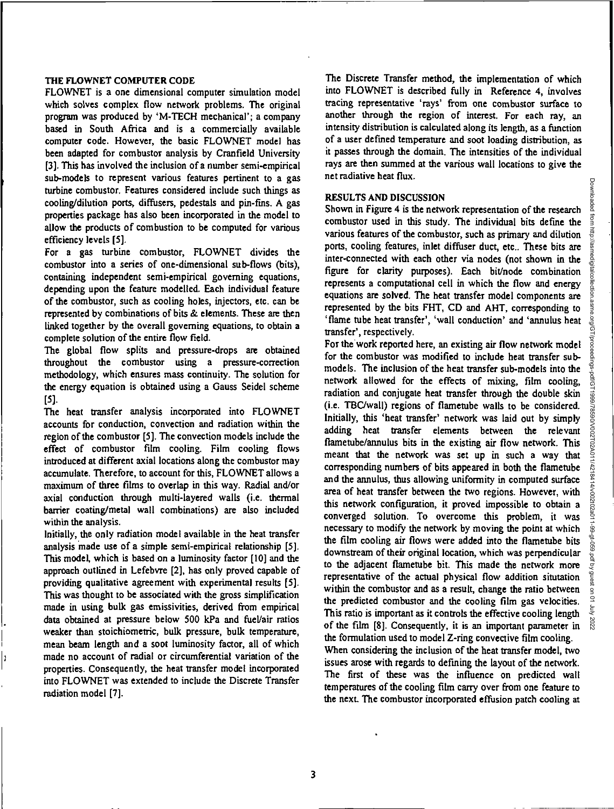#### THE FLOWNET COMPUTER CODE

FLOWNET is a one dimensional computer simulation model which solves complex flow network problems. The original program was produced by 'M-TECH mechanical'; a company based in South Africa and is a commercially available computer code. However, the basic FLOWNET model has been adapted for combustor analysis by Cranfield University [3]. This has involved the inclusion of a number semi-empirical sub-models to represent various features pertinent to a gas turbine combustor. Features considered include such things as cooling/dilution ports, diffusers, pedestals and pin-fins. A gas properties package has also been incorporated in the model to allow the products of combustion to be computed for various efficiency levels [5].

For a gas turbine combustor, FLOWNET divides the combustor into a series of one-dimensional sub-flows (bits), containing independent semi-empirical governing equations, depending upon the feature modelled. Each individual feature of the combustor, such as cooling holes, injectors, etc. can be represented by combinations of bits & elements. These are then linked together by the overall governing equations, to obtain a complete solution of the entire flow field.

The global flow splits and pressure-drops are obtained throughout the combustor using a pressure-correction methodology, which ensures mass continuity. The solution for the energy equation is obtained using a Gauss Seidel scheme [5].

The heat transfer analysis incorporated into FLOWNET accounts for conduction, convection and radiation within the region of the combustor [5). The convection models include the effect of combustor film cooling. Film cooling flows introduced at different axial locations along the combustor may accumulate. Therefore, to account for this, FLOWNET allows a maximum of three films to overlap in this way. Radial and/or axial conduction through multi-layered walls (i.e. thermal barrier coating/metal wall combinations) are also included within the analysis.

Initially, the only radiation model available in the heat transfer analysis made use of a simple semi-empirical relationship [5]. This model, which is based on a luminosity factor [10] and the approach outlined in Lefebvre [2], has only proved capable of providing qualitative agreement with experimental results [5]. This was thought to be associated with the gross simplification made in using bulk gas emissivities, derived from empirical data obtained at pressure below 500 kPa and fuel/air ratios weaker than stoichiometric, bulk pressure, bulk temperature, mean beam length and a soot luminosity factor, all of which made no account of radial or circumferential variation of the properties. Consequently, the heat transfer model incorporated into FLOWNET was extended to include the Discrete Transfer radiation model [7).

The Discrete Transfer method, the implementation of which into FLOWNET is described fully in Reference 4, involves tracing representative 'rays' from one combustor surface to another through the region of interest. For each ray, an intensity distribution is calculated along its length, as a function of a user defined temperature and soot loading distribution, as it passes through the domain. The intensities of the individual rays are then summed at the various wall locations to give the net radiative heat flux.

#### RESULTS AND DISCUSSION

Shown in Figure 4 is the network representation of the research combustor used in this study. The individual bits define the various features of the combustor, such as primary and dilution ports, cooling features, inlet diffuser duct, etc.. These bits are inter-connected with each other via nodes (not shown in the figure for clarity purposes). Each bit/node combination represents a computational cell in which the flow and energy equations are solved. The heat transfer model components are represented by the bits FHT, CD and AHT, corresponding to 'flame tube heat transfer', 'wall conduction' and 'annulus heat transfer', respectively.

For the work reported here, an existing air flow network model for the combustor was modified to include heat transfer submodels. The inclusion of the heat transfer sub-models into the network allowed for the effects of mixing, film cooling, radiation and conjugate heat transfer through the double skin (i.e. TBC/wall) regions of flametube walls to be considered. Initially, this 'heat transfer' network was laid out by simply adding heat transfer elements between the relevant flametube/annulus bits in the existing air flow network. This meant that the network was set up in such a way that corresponding numbers of bits appeared in both the flametube and the annulus, thus allowing uniformity in computed surface area of heat transfer between the two regions. However, with this network configuration, it proved impossible to obtain a converged solution. To overcome this problem, it was necessary to modify the network by moving the point at which the film cooling air flows were added into the flametube bits downstream of their original location, which was perpendicular to the adjacent flametube bit. This made the network more representative of the actual physical flow addition situtation within the combustor and as a result, change the ratio between the predicted combustor and the cooling film gas velocities. This ratio is important as it controls the effective cooling length of the film [8]. Consequently, it is an important parameter in the formulation used to model Z-ring convective film cooling. When considering the inclusion of the heat transfer model, two issues arose with regards to defining the layout of the network.

The first of these was the influence on predicted wall temperatures of the cooling film carry over from one feature to the next. The combustor incorporated effusion patch cooling at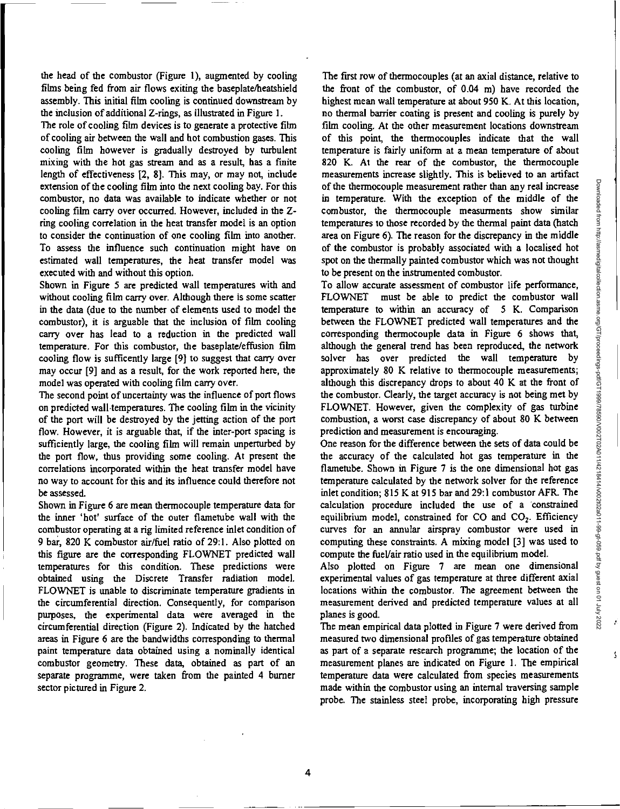Ý

ţ

the head of the combustor (Figure 1), augmented by cooling films being fed from air flows exiting the baseplate/heatshield assembly. This initial film cooling is continued downstream by the inclusion of additional Z-rings, as illustrated in Figure 1.

The role of cooling film devices is to generate a protective film of cooling air between the wall and hot combustion gases. This cooling film however is gradually destroyed by turbulent mixing with the hot gas stream and as a result, has a fmite length of effectiveness [2, 8]. This may, or may not, include extension of the cooling film into the next cooling bay. For this combustor, no data was available to indicate whether or not cooling film carry over occurred. However, included in the Zring cooling correlation in the heat transfer model is an option to consider the continuation of one cooling film into another. To assess the influence such continuation might have on estimated wall temperatures, the heat transfer model was executed with and without this option.

Shown in Figure 5 are predicted wall temperatures with and without cooling film carry over. Although there is some scatter in the data (due to the number of elements used to model the combustor), it is arguable that the inclusion of film cooling carry over has lead to a reduction in the predicted wall temperature. For this combustor, the baseplate/effusion film cooling flow is sufficently large [9] to suggest that carry over may occur [9] and as a result, for the work reported here, the model was operated with cooling film carry over.

The second point of uncertainty was the influence of port flows on predicted wall temperatures. The cooling film in the vicinity of the port will be destroyed by the jetting action of the port flow. However, it is arguable that, if the inter-port spacing is sufficiently large, the cooling film will remain unperturbed by the port flow, thus providing some cooling. At present the correlations incorporated within the heat transfer model have no way to account for this and its influence could therefore not be assessed.

Shown in Figure 6 are mean thermocouple temperature data for the inner 'hot' surface of the outer flametube wall with the combustor operating at a rig limited reference inlet condition of 9 bar, 820 K combustor air/fuel ratio of 29:1. Also plotted on this figure are the corresponding FLOWNET predicted wall temperatures for this condition. These predictions were obtained using the Discrete Transfer radiation model. FLOWNET is unable to discriminate temperature gradients in the circumferential direction. Consequently, for comparison purposes, the experimental data were averaged in the circumferential direction (Figure 2). Indicated by the hatched areas in Figure 6 are the bandwidths corresponding to thermal paint temperature data obtained using a nominally identical combustor geometry. These data, obtained as part of an separate programme, were taken from the painted 4 burner sector pictured in Figure 2.

The first row of thermocouples (at an axial distance, relative to the front of the combustor, of 0.04 m) have recorded the highest mean wall temperature at about 950 K. At this location, no thermal barrier coating is present and cooling is purely by film cooling. At the other measurement locations downstream of this point, the thermocouples indicate that the wall temperature is fairly uniform at a mean temperature of about 820 K. At the rear of the combustor, the thermocouple measurements increase slightly. This is believed to an artifact of the thermocouple measurement rather than any real increase in temperature. With the exception of the middle of the combustor, the thermocouple measunnents show similar temperatures to those recorded by the thermal paint data (hatch area on Figure 6). The reason for the discrepancy in the middle of the combustor is probably associated with a localised hot spot on the thermally painted combustor which was not thought to be present on the instrumented combustor.

To allow accurate assessment of combustor life performance, FLOWNET must be able to predict the combustor wall temperature to within an accuracy of 5 K. Comparison between the FLOWNET predicted wall temperatures and the corresponding thermocouple data in Figure 6 shows that, although the general trend has been reproduced, the network solver has over predicted the wall temperature by approximately 80 K relative to thermocouple measurements; although this discrepancy drops to about 40 K at the front of the combustor. Clearly, the target accuracy is not being met by FLOWNET. However, given the complexity of gas turbine combustion, a worst case discrepancy of about 80 K between prediction and measurement is encouraging.

One reason for the difference between the sets of data could be the accuracy of the calculated hot gas temperature in the flametube. Shown in Figure 7 is the one dimensional hot gas temperature calculated by the network solver for the reference inlet condition; 815 K at 915 bar and 29:1 combustor AFR. The calculation procedure included the use of a constrained equilibrium model, constrained for  $CO$  and  $CO<sub>2</sub>$ . Efficiency curves for an annular airspray combustor were used in computing these constraints. A mixing model [3] was used to compute the fuel/air ratio used in the equilibrium model.

Also plotted on Figure 7 are mean one dimensional experimental values of gas temperature at three different axial locations within the combustor. The agreement between the measurement derived and predicted temperature values at all planes is good.

The mean empirical data plotted in Figure 7 were derived from measured two dimensional profiles of gas temperature obtained as part of a separate research programme; the location of the measurement planes are indicated on Figure 1. The empirical temperature data were calculated from species measurements made within the combustor using an internal traversing sample probe. The stainless steel probe, incorporating high pressure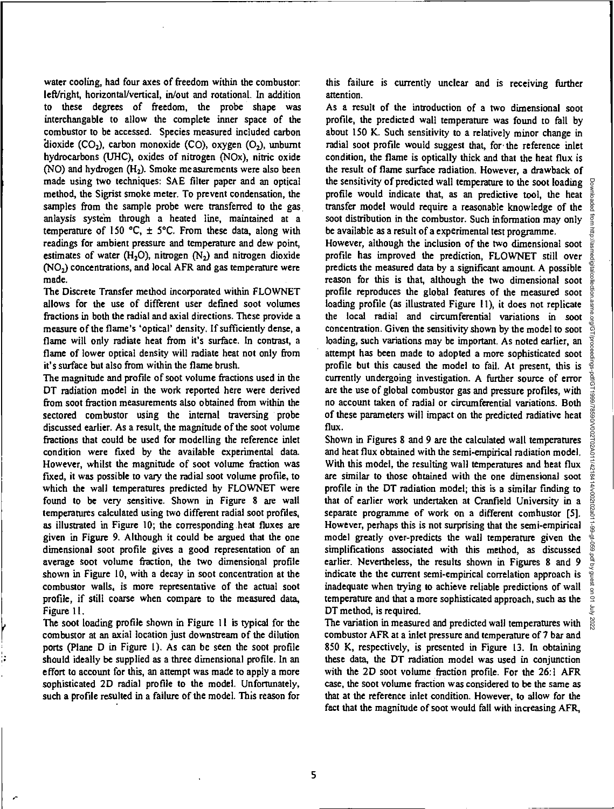water cooling, had four axes of freedom within the combustor left/right, horizontal/vertical, in/out and rotational. In addition to these degrees of freedom, the probe shape was interchangable to allow the complete inner space of the combustor to be accessed. Species measured included carbon dioxide  $(CO_2)$ , carbon monoxide  $(CO)$ , oxygen  $(O_2)$ , unburnt hydrocarbons (UHC), oxides of nitrogen (N0x), nitric oxide  $(NO)$  and hydrogen  $(H<sub>2</sub>)$ . Smoke measurements were also been made using two techniques: SAE filter paper and an optical method, the Sigrist smoke meter. To prevent condensation, the samples from the sample probe were transferred to the gas anlaysis system through a heated line, maintained at a temperature of 150 °C,  $\pm$  5°C. From these data, along with readings for ambient pressure and temperature and dew point, estimates of water (H<sub>2</sub>O), nitrogen (N<sub>2</sub>) and nitrogen dioxide  $(NO<sub>2</sub>)$  concentrations, and local AFR and gas temperature were made.

The Discrete Transfer method incorporated within FLOWNET allows for the use of different user defined soot volumes fractions in both the radial and axial directions. These provide a measure of the flame's 'optical' density. If sufficiently dense, a flame will only radiate heat from it's surface. In contrast, a flame of lower optical density will radiate heat not only from it's surface but also from within the flame brush.

The magnitude and profile of soot volume fractions used in the DT radiation model in the work reported here were derived from soot fraction measurements also obtained from within the sectored combustor using the internal traversing probe discussed earlier. As a result, the magnitude of the soot volume fractions that could be used for modelling the reference inlet condition were fixed by the available experimental data. However, whilst the magnitude of soot volume fraction was fixed, it was possible to vary the radial soot volume profile, to which the wall temperatures predicted by FLOWNET were found to be very sensitive. Shown in Figure 8 are wall temperatures calculated using two different radial soot profiles, as illustrated in Figure 10; the corresponding heat fluxes are given in Figure 9. Although it could be argued that the one dimensional soot profile gives a good representation of an average soot volume fraction, the two dimensional profile shown in Figure 10, with a decay in soot concentration at the combustor walls, is more representative of the actual soot profile, if still coarse when compare to the measured data, Figure 11.

The soot loading profile shown in Figure II is typical for the combustor at an axial location just downstream of the dilution ports (Plane D in Figure 1). As can be seen the soot profile should ideally be supplied as a three dimensional profile. In an effort to account for this, an attempt was made to apply a more sophisticated 20 radial profile to the model. Unfortunately, such a profile resulted in a failure of the model. This reason for this failure is currently unclear and is receiving further attention.

As a result of the introduction of a two dimensional soot profile, the predicted wall temperature was found to fall by about 150 K. Such sensitivity to a relatively minor change in radial soot profile would suggest that, for the reference inlet condition, the flame is optically thick and that the heat flux is the result of flame surface radiation. However, a drawback of the sensitivity of predicted wall temperature to the soot loading profile would indicate that, as an predictive tool, the heat transfer model would require a reasonable knowledge of the soot distribution in the combustor. Such information may only be available as a result of a experimental test programme.

However, although the inclusion of the two dimensional soot profile has improved the prediction, FLOWNET still over predicts the measured data by a significant amount. A possible reason for this is that, although the two dimensional soot profile reproduces the global features of the measured soot loading profile (as illustrated Figure II), it does not replicate the local radial and circumferential variations in soot concentration. Given the sensitivity shown by the model to soot loading, such variations may be important. As noted earlier, an attempt has been made to adopted a more sophisticated soot profile but this caused the model to fail. At present, this is currently undergoing investigation. A further source of error are the use of global combustor gas and pressure profiles, with no account taken of radial or circumferential variations. Both of these parameters will impact on the predicted radiative heat flux.

Shown in Figures 8 and 9 are the calculated wall temperatures and heat flux obtained with the semi-empirical radiation model. With this model, the resulting wall temperatures and heat flux are similar to those obtained with the one dimensional soot profile in the DT radiation model; this is a similar finding to that of earlier work undertaken at Cranfield University in a separate programme of work on a different combustor [5]. However, perhaps this is not surprising that the semi-empirical model greatly over-predicts the wall temperature given the simplifications associated with this method, as discussed earlier. Nevertheless, the results shown in Figures 8 and 9 indicate the the current semi-empirical correlation approach is inadequate when trying to achieve reliable predictions of wall temperature and that a more sophisticated approach, such as the DT method, is required.

The variation in measured and predicted wall temperatures with combustor AFR at a inlet pressure and temperature of 7 bar and 850 K, respectively, is presented in Figure 13. In obtaining these data, the DT radiation model was used in conjunction with the 2D soot volume fraction profile. For the 26:1 AFR case, the soot volume fraction was considered to be the same as that at the reference inlet condition. However, to allow for the fact that the magnitude of soot would fall with increasing AFR,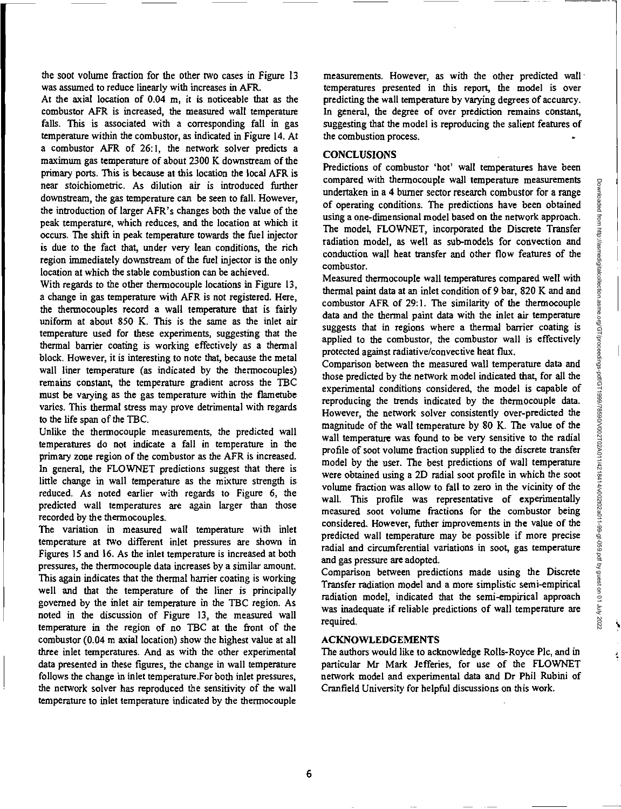the soot volume fraction for the other two cases in Figure 13 was assumed to reduce linearly with increases in AFR.

At the axial location of 0.04 m, it is noticeable that as the combustor AFR is increased, the measured wall temperature falls. This is associated with a corresponding fall in gas temperature within the combustor, as indicated in Figure 14. At a combustor AFR of 26:1, the network solver predicts a maximum gas temperature of about 2300 K downstream of the primary ports. This is because at this location the local AFR is near stoichiometric. As dilution air is introduced further downstream, the gas temperature can be seen to fall. However, the introduction of larger AFR's changes both the value of the peak temperature, which reduces, and the location at which it occurs. The shift in peak temperature towards the fuel injector is due to the fact that, under very lean conditions, the rich region immediately downstream of the fuel injector is the only location at which the stable combustion can be achieved.

With regards to the other thermocouple locations in Figure 13, a change in gas temperature with AFR is not registered. Here, the thermocouples record a wall temperature that is fairly uniform at about 850 K. This is the same as the inlet air temperature used for these experiments, suggesting that the thermal barrier coating is working effectively as a thermal block. However, it is interesting to note that, because the metal wall liner temperature (as indicated by the thermocouples) remains constant, the temperature gradient across the TBC must be varying as the gas temperature within the flametube varies. This thermal stress may prove detrimental with regards to the life span of the TBC.

Unlike the thermocouple measurements, the predicted wall temperatures do not indicate a fall in temperature in the primary zone region of the combustor as the AFR is increased. In general, the FLOWNET predictions suggest that there is little change in wall temperature as the mixture strength is reduced. As noted earlier with regards to Figure 6, the predicted wall temperatures are again larger than those recorded by the thermocouples.

The variation in measured wall temperature with inlet temperature at two different inlet pressures are shown in Figures 15 and 16. As the inlet temperature is increased at both pressures, the thermocouple data increases by a similar amount. This again indicates that the thermal barrier coating is working well and that the temperature of the liner is principally governed by the inlet air temperature in the TBC region. As noted in the discussion of Figure 13, the measured wall temperature in the region of no TBC at the front of the combustor (0.04 m axial location) show the highest value at all three inlet temperatures. And as with the other experimental data presented in these figures, the change in wall temperature follows the change in inlet temperature.For both inlet pressures, the network solver has reproduced the sensitivity of the wall temperature to inlet temperature indicated by the thermocouple

measurements. However, as with the other predicted wall • temperatures presented in this report, the model is over predicting the wall temperature by varying degrees of accuarcy. In general, the degree of over prediction remains constant, suggesting that the model is reproducing the salient features of the combustion process.

## **CONCLUSIONS**

Predictions of combustor 'hot' wall temperatures have been compared with thermocouple wall temperature measurements undertaken in a 4 burner sector research combustor for a range of operating conditions. The predictions have been obtained using a one-dimensional model based on the network approach. The model, FLOWNET, incorporated the Discrete Transfer radiation model, as well as sub-models for convection and conduction wall heat transfer and other flow features of the combustor.

Measured thermocouple wall temperatures compared well with thermal paint data at an inlet condition of 9 bar, 820 K and and combustor AFR of 29:1. The similarity of the thermocouple data and the thermal paint data with the inlet air temperature suggests that in regions where a thermal barrier coating is applied to the combustor, the combustor wall is effectively protected against radiative/convective heat flux.

Comparison between the measured wall temperature data and those predicted by the network model indicated that, for all the experimental conditions considered, the model is capable of reproducing the trends indicated by the thermocouple data. However, the network solver consistently over-predicted the magnitude of the wall temperature by 80 K. The value of the wall temperature was found to be very sensitive to the radial profile of soot volume fraction supplied to the discrete transfer model by the user. The best predictions of wall temperature were obtained using a 2D radial soot profile in which the soot volume fraction was allow to fall to zero in the vicinity of the wall. This profile was representative of experimentally measured soot volume fractions for the combustor being considered. However, futher improvements in the value of the predicted wall temperature may be possible if more precise radial and circumferential variations in soot, gas temperature and gas pressure are adopted.

Comparison between predictions made using the Discrete Transfer radiation model and a more simplistic semi-empirical radiation model, indicated that the semi-empirical approach was inadequate if reliable predictions of wall temperature are required.

### ACKNOWLEDGEMENTS

The authors would like to acknowledge Rolls-Royce Plc, and in particular Mr Mark Jefferies, for use of the FLOWNET network model and experimental data and Dr Phil Rubini of Cranfield University for helpful discussions on this work.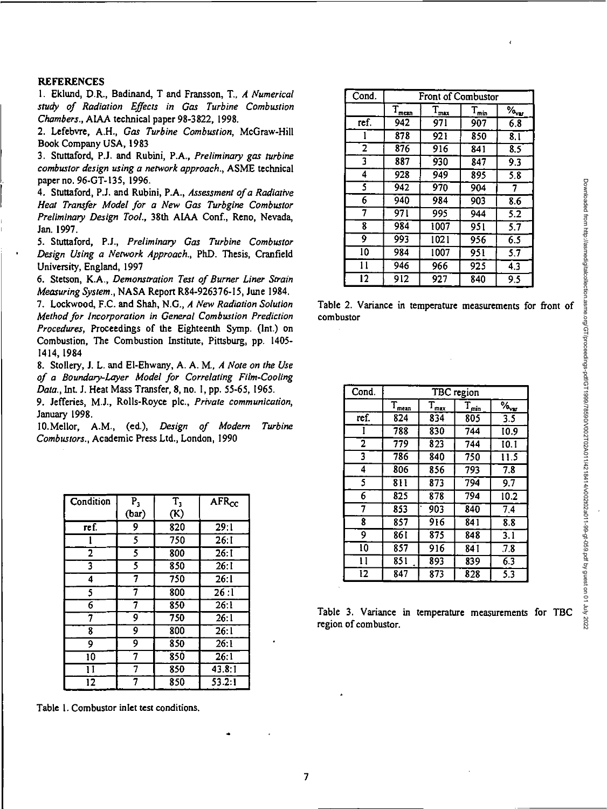#### **REFERENCES**

1. Eklund, D.R., Badinand, T and Fransson, T., *A Numerical study of Radiation Effects in Gas Turbine Combustion Chambers.,* AIAA technical paper 98-3822, 1998.

2. Lefebvre, A.H., *Gas Turbine Combustion,* McGraw-Hill Book Company USA, 1983

3. Stuttaford, P.J. and Rubini, P.A., *Preliminary gas turbine combustor design using a network approach.,* ASME technical paper no. 96-GT-135, 1996.

4. Stuttaford, P.J. and Rubini, P.A., *Assessment of a Radiative Heat Transfer Model for a New Gas Turbgine Combustor Preliminary Design Tool.,* 38th AIAA Conf., Reno, Nevada, Jan. 1997.

5. Stuttaford, P.J., *Preliminary Gas Turbine Combustor Design Using a Network Approach.,* PhD. Thesis, Cranfield University, England, 1997

6. Stetson, K.A., *Demonstration Test of Burner Liner Strain Measuring System.,* NASA Report R84-926376-15, June 1984.

7. Lockwood, F.C. and Shah, N.G., *A New Radiation Solution Method for Incorporation in General Combustion Prediction Procedures, Proceedings of the Eighteenth Symp. (lnt.) on* Combustion, The Combustion Institute, Pittsburg, pp. 1405- 1414, 1984

8. Stollery, J. L. and El-Ehwany, A. A. M., *A Note on the Use of a Boundary-Layer Model for Correlating Film-Cooling Data.,* Int. J. Heat Mass Transfer, 8, no. 1, pp. 55-65, 1965.

9. Jefferies, MI., Rolls-Royce plc., *Private communication,*  January 1998.

10.Mellor, A.M., (ed.), *Design of Modern Turbine Combustors., Academic* Press Ltd., London, 1990

| Condition       | $P_3$ | $T_3$ | <b>AFR<sub>cc</sub></b> |
|-----------------|-------|-------|-------------------------|
|                 | (bar) | (K)   |                         |
| ref.            | 9     | 820   | 29:1                    |
|                 | 5.    | 750   | 26:1                    |
| 2               | 5     | 800   | 26:1                    |
| 3               | 5     | 850   | 26:1                    |
| 4               | 7     | 750   | 26:1                    |
| 5               | 7     | 800   | 26:1                    |
| $\overline{6}$  | 7     | 850   | 26:1                    |
| 7               | 9     | 750   | 26:1                    |
| 8               | 9     | 800   | 26:1                    |
| 9               | 9     | 850   | 26:1                    |
| $\overline{10}$ | 7     | 850   | 26:1                    |
| 11              | 7     | 850   | 43.8:1                  |
| 12              |       | 850   | 53.2:1                  |

Table 1. Combustor inlet test conditions.

| Cond.                   |                     | Front of Combustor |                  |               |  |  |
|-------------------------|---------------------|--------------------|------------------|---------------|--|--|
|                         | $T_{\frac{mean}{}}$ | $T_{\text{max}}$   | $T_{\text{min}}$ | $\%_{\infty}$ |  |  |
| ref.                    | 942                 | 971                | 907              | 6.8           |  |  |
|                         | 878                 | 921                | 850              | 8.1           |  |  |
| $\overline{\mathbf{2}}$ | 876                 | 916                | 841              | 8.5           |  |  |
| 3                       | 887                 | 930                | 847              | 9.3           |  |  |
| 4                       | 928                 | 949                | 895              | 5.8           |  |  |
| 5                       | 942                 | 970                | 904              | 7             |  |  |
| 6                       | 940                 | 984                | 903              | 8.6           |  |  |
| 7                       | 971                 | 995                | 944              | 5.2           |  |  |
| 8                       | 984                 | 1007               | 951              | 5.7           |  |  |
| 9                       | 993                 | 1021               | 956              | 6.5           |  |  |
| 10                      | 984                 | 1007               | 951              | 5.7           |  |  |
| 11                      | 946                 | 966                | 925              | 4.3           |  |  |
| 12                      | 912                 | 927                | 840              | 9.5           |  |  |

Table 2. Variance in temperature measurements for front of combustor

| Cond.                   | TBC region        |                  |               |                   |  |
|-------------------------|-------------------|------------------|---------------|-------------------|--|
|                         | $T_{\text{mean}}$ | $T_{\text{max}}$ | $T_{\rm min}$ | $\%$ <sub>v</sub> |  |
| ref.                    | 824               | 834              | 805           | $\overline{3.5}$  |  |
| 1                       | 788               | 830              | 744           | 10.9              |  |
| $\overline{\mathbf{2}}$ | 779               | $\overline{823}$ | 744           | $\overline{10.1}$ |  |
| 3                       | 786               | 840              | 750           | 11.5              |  |
| 4                       | 806               | 856              | 793           | 7.8               |  |
| 5                       | 811               | 873              | 794           | 9.7               |  |
| 6                       | 825               | 878              | 794           | 10.2              |  |
| 7                       | 853               | 903              | 840           | $\overline{7.4}$  |  |
| 8                       | 857               | 916              | 841           | 8.8               |  |
| 9                       | 861               | 875              | 848           | $\overline{3}$ .  |  |
| 10                      | 857               | 916              | 841           | 7.8               |  |
| 11                      | 851               | 893              | 839           | 6.3               |  |
| 12                      | 847               | 873              | 828           | 5.3               |  |

Table 3. Variance in temperature measurements for TBC region of combustor.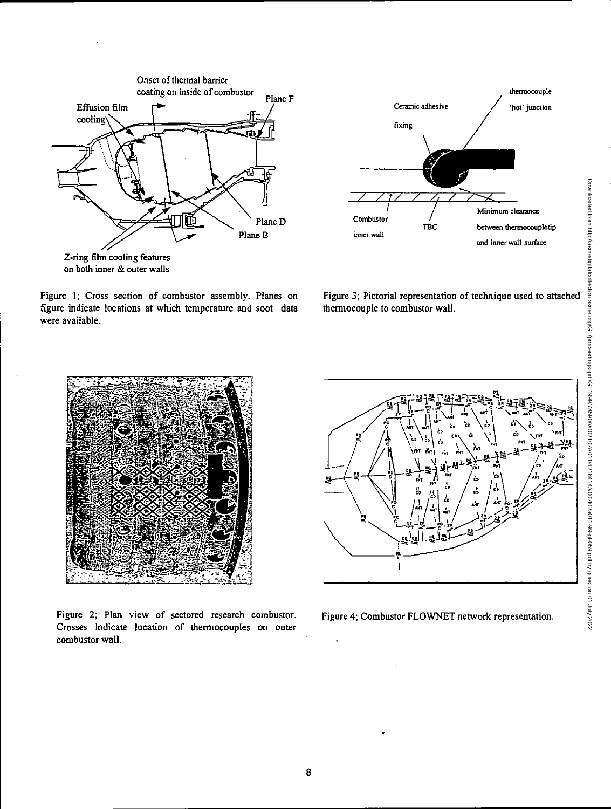

coating on inside of combustor the combustor thermocouple of combustor thermocouple fixing TBC Minimum clearance between thermocoupletip Combustor inner wall

Figure 1; Cross section of combustor assembly. Planes on figure indicate locations at which temperature and soot data were available.



and inner wall surface



Figure 2; Plan view of sectored research combustor. Crosses indicate location of thermocouples on outer combustor wall.



Figure 4; Combustor FLOWNET network representation.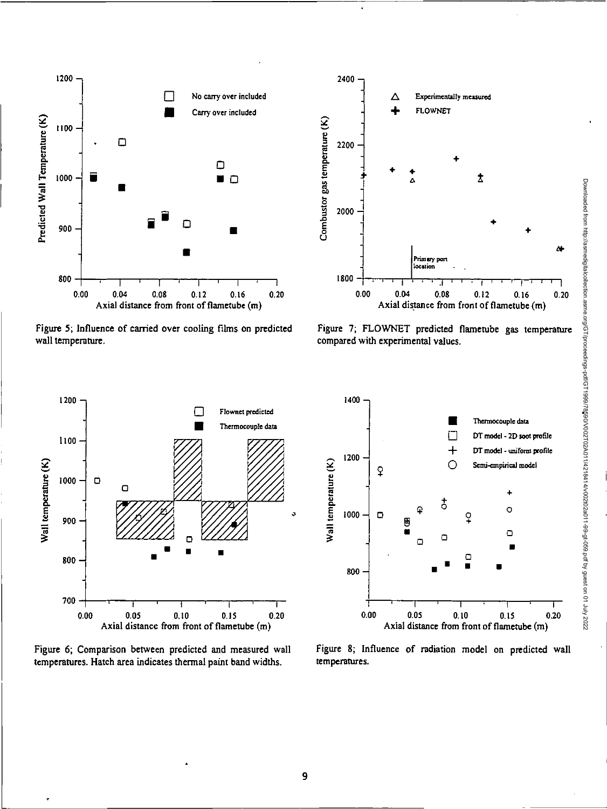

Figure 5; Influence of carried over cooling films on predicted Figure 7; FLOWNET predicted flametube gas temperature vall temperature.



compared with experimental values.



Figure 6; Comparison between predicted and measured wall temperatures. Hatch area indicates thermal paint band widths. temperatures.



Figure 8; Influence of radiation model on predicted wall

Downloaded from http://asmedigitalcollection.asme.org/GT/proceedings-pdf/GT1999/78590/V002T02A011/4218414/v002t02a011-99-gt-059.pdf by guest on 01 July 2022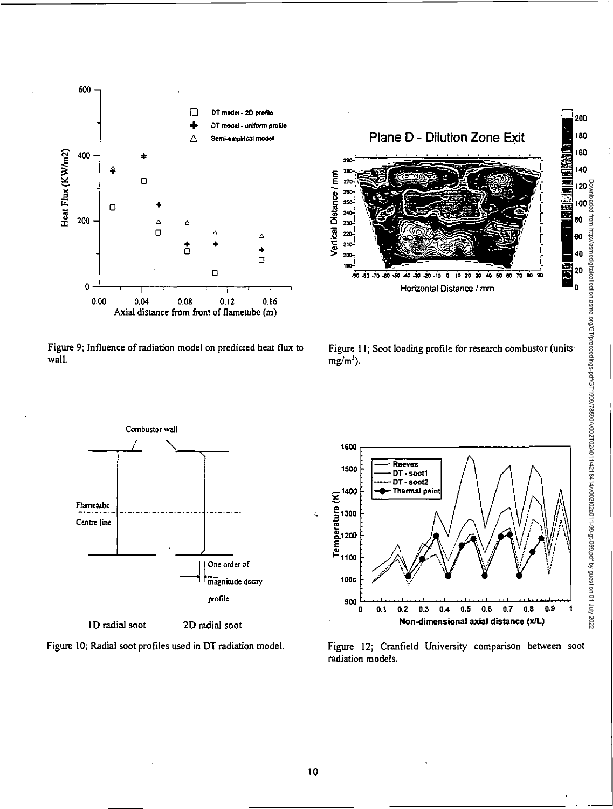

Figure 9; Influence of radiation model on predicted heat flux to Figure 11; Soot loading profile for research combustor (units:<br>wall. wall.  $mg/m^3$ ).





ID radial soot 2D radial soot







Downloaded from http://asmedigitalcollection.asme.org/GT/proceedings-pdf/GT1999/78590/V002T02A011/4218414/v002t02a011-99-gt-059.pdf by guest on 01 July 2022

 $\epsilon$